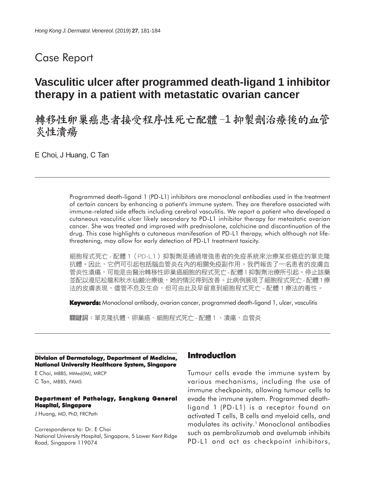## Case Report

# **Vasculitic ulcer after programmed death-ligand 1 inhibitor therapy in a patient with metastatic ovarian cancer**

轉移性卵巢癌患者接受程序性死亡配體-1抑製劑治療後的血管 炎性潰瘍

E Choi, J Huang, C Tan

Programmed death-ligand 1 (PD-L1) inhibitors are monoclonal antibodies used in the treatment of certain cancers by enhancing a patient's immune system. They are therefore associated with immune-related side effects including cerebral vasculitis. We report a patient who developed a cutaneous vasculitic ulcer likely secondary to PD-L1 inhibitor therapy for metastatic ovarian cancer. She was treated and improved with prednisolone, colchicine and discontinuation of the drug. This case highlights a cutaneous manifesation of PD-L1 therapy, which although not lifethreatening, may allow for early detection of PD-L1 treatment toxicity.

細胞程式死亡 - 配體 1 (PD-L1) 抑製劑是通過增強患者的免疫系統來治療某些癌症的單克隆 抗體。因此,它們可引起包括腦血管炎在內的相關免疫副作用。我們報告了一名患者的皮膚血 管炎性潰瘍,可能是由醫治轉移性卵巢癌細胞的程式死亡-配體1抑製劑治療所引起。停止該藥 並配以潑尼松龍和秋水仙鹼治療後,她的情況得到改善。此病例展現了細胞程式死亡-配體1療 法的皮膚表現,儘管不危及生命,但可由此及早留意到細胞程式死亡 - 配體 1 療法的毒性。

**Keywords:** Monoclonal antibody, ovarian cancer, programmed death-ligand 1, ulcer, vasculitis

關鍵詞:單克隆抗體、卵巢癌、細胞程式死亡 - 配體 1、潰瘍、血管炎

**Division of Dermatology, Department of Medicine, National University Healthcare System, Singapore**

E Choi, MBBS, MMed(IM), MRCP C Tan, MBBS, FAMS

#### **Department of Pathology, Sengkang General Hospital, Singapore**

J Huang, MD, PhD, FRCPath

Correspondence to: Dr. E Choi National University Hospital, Singapore, 5 Lower Kent Ridge Road, Singapore 119074

#### **Introduction**

Tumour cells evade the immune system by various mechanisms, including the use of immune checkpoints, allowing tumour cells to evade the immune system. Programmed deathligand 1 (PD-L1) is a receptor found on activated T cells, B cells and myeloid cells, and modulates its activity.1 Monoclonal antibodies such as pembrolizumab and avelumab inhibits PD-L1 and act as checkpoint inhibitors,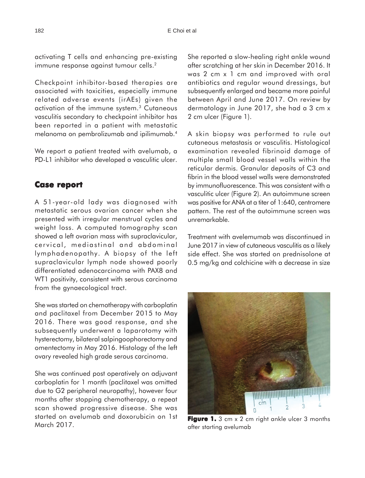activating T cells and enhancing pre-existing immune response against tumour cells.<sup>2</sup>

Checkpoint inhibitor-based therapies are associated with toxicities, especially immune related adverse events (irAEs) given the activation of the immune system.3 Cutaneous vasculitis secondary to checkpoint inhibitor has been reported in a patient with metastatic melanoma on pembrolizumab and ipilimumab.4

We report a patient treated with avelumab, a PD-L1 inhibitor who developed a vasculitic ulcer.

### **Case report Case**

A 51-year-old lady was diagnosed with metastatic serous ovarian cancer when she presented with irregular menstrual cycles and weight loss. A computed tomography scan showed a left ovarian mass with supraclavicular, cervical, mediastinal and abdominal lymphadenopathy. A biopsy of the left supraclavicular lymph node showed poorly differentiated adenocarcinoma with PAX8 and WT1 positivity, consistent with serous carcinoma from the gynaecological tract.

She was started on chemotherapy with carboplatin and paclitaxel from December 2015 to May 2016. There was good response, and she subsequently underwent a laparotomy with hysterectomy, bilateral salpingoophorectomy and omentectomy in May 2016. Histology of the left ovary revealed high grade serous carcinoma.

She was continued post operatively on adjuvant carboplatin for 1 month (paclitaxel was omitted due to G2 peripheral neuropathy), however four months after stopping chemotherapy, a repeat scan showed progressive disease. She was started on avelumab and doxorubicin on 1st March 2017.

She reported a slow-healing right ankle wound after scratching at her skin in December 2016. It was 2 cm x 1 cm and improved with oral antibiotics and regular wound dressings, but subsequently enlarged and became more painful between April and June 2017. On review by dermatology in June 2017, she had a 3 cm x 2 cm ulcer (Figure 1).

A skin biopsy was performed to rule out cutaneous metastasis or vasculitis. Histological examination revealed fibrinoid damage of multiple small blood vessel walls within the reticular dermis. Granular deposits of C3 and fibrin in the blood vessel walls were demonstrated by immunofluorescence. This was consistent with a vasculitic ulcer (Figure 2). An autoimmune screen was positive for ANA at a titer of 1:640, centromere pattern. The rest of the autoimmune screen was unremarkable.

Treatment with avelemumab was discontinued in June 2017 in view of cutaneous vasculitis as a likely side effect. She was started on prednisolone at 0.5 mg/kg and colchicine with a decrease in size



**Figure 1.** 3 cm x 2 cm right ankle ulcer 3 months after starting avelumab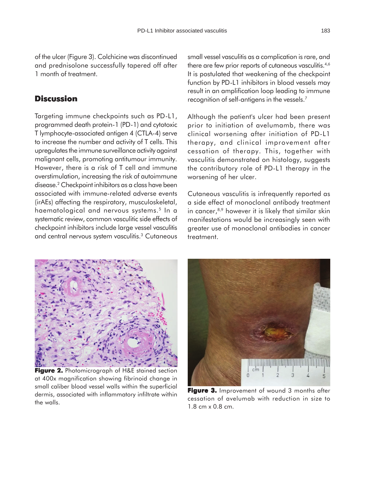of the ulcer (Figure 3). Colchicine was discontinued and prednisolone successfully tapered off after 1 month of treatment.

#### **Discussion**

Targeting immune checkpoints such as PD-L1, programmed death protein-1 (PD-1) and cytotoxic T lymphocyte-associated antigen 4 (CTLA-4) serve to increase the number and activity of T cells. This upregulates the immune surveillance activity against malignant cells, promoting antitumour immunity. However, there is a risk of T cell and immune overstimulation, increasing the risk of autoimmune disease.2 Checkpoint inhibitors as a class have been associated with immune-related adverse events (irAEs) affecting the respiratory, musculoskeletal, haematological and nervous systems.<sup>5</sup> In a systematic review, common vasculitic side effects of checkpoint inhibitors include large vessel vasculitis and central nervous system vasculitis.<sup>3</sup> Cutaneous

small vessel vasculitis as a complication is rare, and there are few prior reports of cutaneous vasculitis.<sup>4,6</sup> It is postulated that weakening of the checkpoint function by PD-L1 inhibitors in blood vessels may result in an amplification loop leading to immune recognition of self-antigens in the vessels.7

Although the patient's ulcer had been present prior to initiation of avelumamb, there was clinical worsening after initiation of PD-L1 therapy, and clinical improvement after cessation of therapy. This, together with vasculitis demonstrated on histology, suggests the contributory role of PD-L1 therapy in the worsening of her ulcer.

Cutaneous vasculitis is infrequently reported as a side effect of monoclonal antibody treatment in cancer, $8,9$  however it is likely that similar skin manifestations would be increasingly seen with greater use of monoclonal antibodies in cancer treatment.



**Figure 2.** Photomicrograph of H&E stained section at 400x magnification showing fibrinoid change in small caliber blood vessel walls within the superficial dermis, associated with inflammatory infiltrate within the walls.



**Figure 3.** Improvement of wound 3 months after cessation of avelumab with reduction in size to 1.8 cm x 0.8 cm.